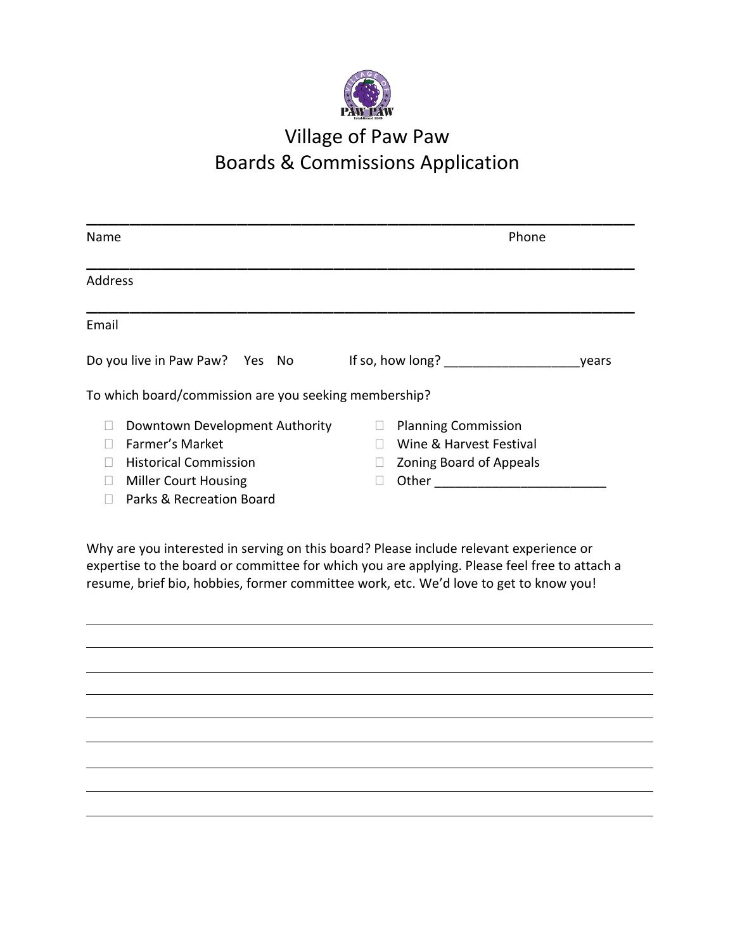

## Village of Paw Paw Boards & Commissions Application

| Name                                                        | Phone                                                 |
|-------------------------------------------------------------|-------------------------------------------------------|
| <b>Address</b>                                              |                                                       |
| Email                                                       |                                                       |
| Do you live in Paw Paw? Yes No                              | If so, how long?<br>vears                             |
| To which board/commission are you seeking membership?       |                                                       |
| Downtown Development Authority<br>Farmer's Market           | <b>Planning Commission</b><br>Wine & Harvest Festival |
| <b>Historical Commission</b><br><b>Miller Court Housing</b> | <b>Zoning Board of Appeals</b><br>Other               |
| Parks & Recreation Board                                    |                                                       |

Why are you interested in serving on this board? Please include relevant experience or expertise to the board or committee for which you are applying. Please feel free to attach a resume, brief bio, hobbies, former committee work, etc. We'd love to get to know you!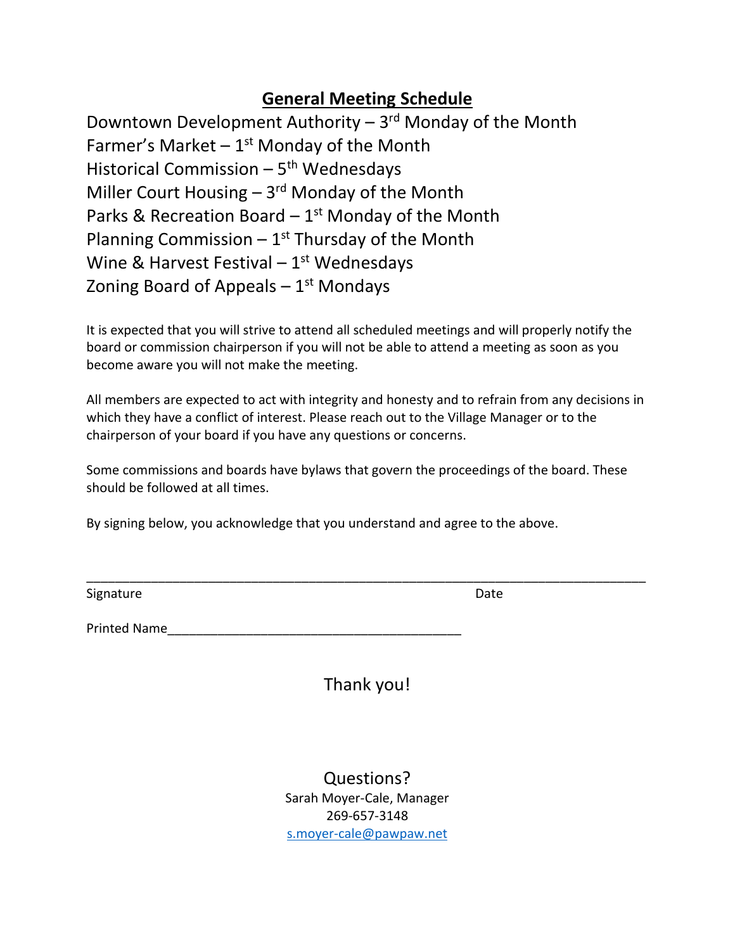## **General Meeting Schedule**

Downtown Development Authority - 3<sup>rd</sup> Monday of the Month Farmer's Market  $-1$ <sup>st</sup> Monday of the Month Historical Commission – 5<sup>th</sup> Wednesdays Miller Court Housing - 3<sup>rd</sup> Monday of the Month Parks & Recreation Board  $-1<sup>st</sup>$  Monday of the Month Planning Commission  $-1^{st}$  Thursday of the Month Wine & Harvest Festival – 1<sup>st</sup> Wednesdays Zoning Board of Appeals – 1st Mondays

It is expected that you will strive to attend all scheduled meetings and will properly notify the board or commission chairperson if you will not be able to attend a meeting as soon as you become aware you will not make the meeting.

All members are expected to act with integrity and honesty and to refrain from any decisions in which they have a conflict of interest. Please reach out to the Village Manager or to the chairperson of your board if you have any questions or concerns.

Some commissions and boards have bylaws that govern the proceedings of the board. These should be followed at all times.

By signing below, you acknowledge that you understand and agree to the above.

Signature Date Date Date

Printed Name

Thank you!

\_\_\_\_\_\_\_\_\_\_\_\_\_\_\_\_\_\_\_\_\_\_\_\_\_\_\_\_\_\_\_\_\_\_\_\_\_\_\_\_\_\_\_\_\_\_\_\_\_\_\_\_\_\_\_\_\_\_\_\_\_\_\_\_\_\_\_\_\_\_\_\_\_\_\_\_\_\_

Questions? Sarah Moyer-Cale, Manager 269-657-3148 [s.moyer-cale@pawpaw.net](mailto:s.moyer-cale@pawpaw.net)